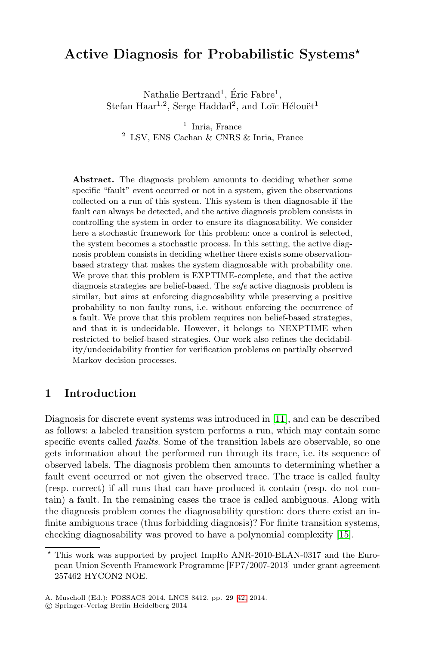# **Active Diagnosis for Probabilistic Systems***-*

Nathalie Bertrand<sup>1</sup>, Eric Fabre<sup>1</sup>, Stefan Haar<sup>1,2</sup>, Serge Haddad<sup>2</sup>, and Loïc Hélouët<sup>1</sup>

 $<sup>1</sup>$  Inria, France</sup> <sup>2</sup> LSV, ENS Cachan & CNRS & Inria, France

**Abstract.** The diagnosis problem amounts to deciding whether some specific "fault" event occurred or not in a system, given the observations collected on a run of this system. This system is then diagnosable if the fault can always be detected, and the active diagnosis problem consists in controlling the system in order to ensure its diagnosability. We consider here a stochastic framework for this problem: once a control is selected, the system becomes a stochastic process. In this setting, the active diagnosis problem consists in deciding whether there exists some observationbased strategy that makes the system diagnosable with probability one. We prove that this problem is EXPTIME-complete, and that the active diagnosis strategies are belief-based. The *safe* active diagnosis problem is similar, but aims at enforcing diagnosability while preserving a positive probability to non faulty runs, i.e. without enforcing the occurrence of a fault. We prove that this problem requires non belief-based strategies, and that it is undecidable. Ho[weve](#page-12-0)r, it belongs to NEXPTIME when restricted to belief-based strategies. Our work also refines the decidability/undecidability frontier for verification problems on partially observed Markov decision processes.

# **1 Introduction**

Diagnosis for discrete event systems was introduced in [11], and can be described as follows: a labeled transition system performs a run, which may contain some specific events called *faults*. Some of the transition [labe](#page-13-0)ls are observable, so one gets information about the performed run through its trace, i.e. its sequence of observed labels. The diagnosis problem then amounts to determining whether a fault event occurred or not given the observed trace. The trace is called faulty (resp. correct) if all runs that can have produced it contain (resp. do not contain) a fault. In the remaining cases the trace is called ambiguous. Along with the diagnosis problem come[s](#page-13-1) [t](#page-13-1)he diagnosability question: does there exist an infinite ambiguous trace (thus forbidding diagnosis)? For finite transition systems, checking diagnosability was proved to have a polynomial complexity [15].

 $\star$  This work was supported by project ImpRo ANR-2010-BLAN-0317 and the European Union Seventh Framework Programme [FP7/2007-2013] under grant agreement 257462 HYCON2 NOE.

A. Muscholl (Ed.): FOSSACS 2014, LNCS 8412, pp. 29–42, 2014.

<sup>-</sup>c Springer-Verlag Berlin Heidelberg 2014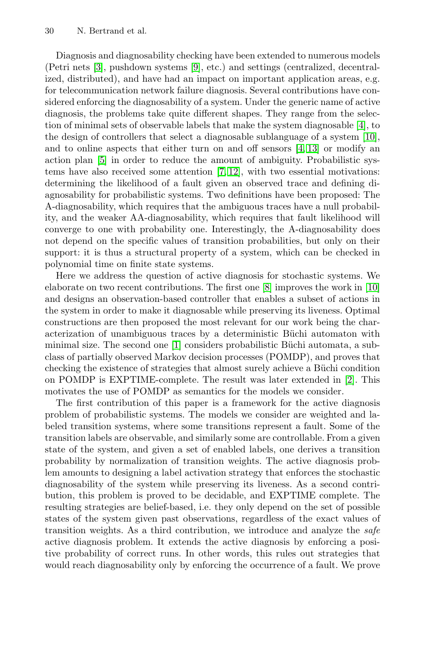Diagnosis and diagnosability checking h[av](#page-12-2)[e be](#page-13-2)en extend[ed](#page-12-1) [t](#page-12-1)o numerous models (Petri nets [3], pushdown systems [9], etc.) and settings (centralized, decentralized, distributed), and [ha](#page-12-3)[ve](#page-13-3) had an impact on important application areas, e.g. for telecommunication network failure diagnosis. Several contributions have considered enforcing the diagnosability of a system. Under the generic name of active diagnosis, the problems take quite different shapes. They range from the selection of minimal sets of observable labels that make the system diagnosable [4], to the design of controllers that select a diagnosable sublanguage of a system [10], and to online aspects that either turn on and off sensors [4, 13] or modify an action plan [5] in order to reduce the amount of ambiguity. Probabilistic systems have also received some attention [7, 12], with two essential motivations: determining the likelihood of a fault given an observed trace and defining diagnosability for probabilistic syst[em](#page-12-4)s. Two definitions hav[e b](#page-12-1)een proposed: The A-diagnosability, which requires that the ambiguous traces have a null probability, and the weaker AA-diagnosability, which requires that fault likelihood will converge to one with probability one. Interestingly, the A-diagnosability does not depend on the specific values of transition probabilities, but only on their support: it i[s t](#page-12-5)hus a structural property of a system, which can be checked in polynomial time on finite state systems.

Here we address the question of active diagnosis for stochastic systems. We elaborate on two recent contributions. The first one [8[\] im](#page-12-6)proves the work in [10] and designs an observation-based controller that enables a subset of actions in the system in order to make it diagnosable while preserving its liveness. Optimal constructions are then proposed the most relevant for our work being the characterization of unambiguous traces by a deterministic Büchi automaton with minimal size. The second one [1] considers probabilistic Büchi automata, a subclass of partially observed Markov decision processes (POMDP), and proves that checking the existence of strategies that almost surely achieve a Büchi condition on POMDP is EXPTIME-complete. The result was later extended in [2]. This motivates the use of POMDP as semantics for the models we consider.

The first contribution of this paper is a framework for the active diagnosis problem of probabilistic systems. The models we consider are weighted and labeled transition systems, where some transitions represent a fault. Some of the transition labels are observable, and similarly some are controllable. From a given state of the system, and given a set of enabled labels, one derives a transition probability by normalization of transition weights. The active diagnosis problem amounts to designing a label activation strategy that enforces the stochastic diagnosability of the system while preserving its liveness. As a second contribution, this problem is proved to be decidable, and EXPTIME complete. The resulting strategies are belief-based, i.e. they only depend on the set of possible states of the system given past observations, regardless of the exact values of transition weights. As a third contribution, we introduce and analyze the *safe* active diagnosis problem. It extends the active diagnosis by enforcing a positive probability of correct runs. In other words, this rules out strategies that would reach diagnosability only by enforcing the occurrence of a fault. We prove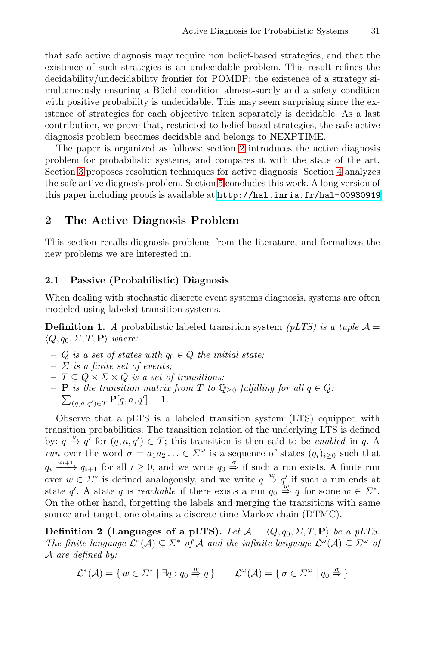<span id="page-2-0"></span>that safe active diagnosis [may](#page-2-0) require non belief-based strategies, and that the existence of such strategies is an undecidable problem. This result refines the decidability/undecidability frontier for POMDP: t[he](#page-10-0) existence of a strategy simultaneously ensuring [a](#page-12-7) Büchi condition almost-surely and a safety condition with positive probabili[ty is undecidable. This may seem surpri](http://hal.inria.fr/hal-00930919)sing since the existence of strategies for each objective taken separately is decidable. As a last contribution, we prove that, restricted to belief-based strategies, the safe active diagnosis problem becomes decidable and belongs to NEXPTIME.

The paper is organized as follows: section 2 introduces the active diagnosis problem for probabilistic systems, and compares it with the state of the art. Section 3 proposes resolution techniques for active diagnosis. Section 4 analyzes the safe active diagnosis problem. Section 5 concludes this work. A long version of this paper including proofs is available at http://hal.inria.fr/hal-00930919

## **2 The Active Diagnosis Problem**

This section recalls diagnosis problems from the literature, and formalizes the new problems we are interested in.

### **2.1 Passive (Probabilistic) Diagnosis**

When dealing with stochastic discrete event systems diagnosis, systems are often modeled using labeled transition systems.

**Definition 1.** *A* probabilistic labeled transition system *(pLTS) is a tuple*  $A =$  $\langle Q, q_0, \Sigma, T, \mathbf{P} \rangle$  where:

- **–** <sup>Q</sup> *is a set of states with* <sup>q</sup><sup>0</sup> <sup>∈</sup> <sup>Q</sup> *the initial state;*
- **–** Σ *is a finite set of events;*
- 
- $\begin{aligned} & -T \subseteq Q \times \Sigma \times Q \text{ is a set of transitions;} \\ & -\mathbf{P} \text{ is the transition matrix from } T \text{ to } \mathbb{Q}_{\geq 0} \text{ fulfilling for all } q \in Q. \end{aligned}$  $\sum_{(q,a,q') \in T} \mathbf{P}[q,a,q'] = 1.$

Observe that a pLTS is a labeled transition system (LTS) equipped with transition probabilities. The transition relation of the underlying LTS is defined by:  $q \stackrel{a}{\rightarrow} q'$  for  $(q, a, q') \in T$ ; this transition is then said to be *enabled* in q. A *run* over the word  $\sigma = a_1 a_2 ... \in \Sigma^\omega$  is a sequence of states  $(q_i)_{i\geq 0}$  such that  $q_i \xrightarrow{a_{i+1}} q_{i+1}$  for all  $i \geq 0$ , and we write  $q_0 \stackrel{\sigma}{\Rightarrow}$  if such a run exists. A finite run over  $w \in \Sigma^*$  is defined analogously, and we write  $q \stackrel{w}{\Rightarrow} q'$  if such a run ends at state q'. A state q is *reachable* if there exists a run  $q_0 \stackrel{w}{\Rightarrow} q$  for some  $w \in \Sigma^*$ . On the other hand, forgetting the labels and merging the transitions with same source and target, one obtains a discrete time Markov chain (DTMC).

**Definition 2 (Languages of a pLTS).** *Let*  $\mathcal{A} = \langle Q, q_0, \Sigma, T, \mathbf{P} \rangle$  *be a pLTS. The finite language*  $\mathcal{L}^*(\mathcal{A}) \subseteq \Sigma^*$  *of*  $\mathcal{A}$  *and the infinite language*  $\mathcal{L}^{\omega}(\mathcal{A}) \subseteq \Sigma^{\omega}$  *of* A *are defined by:*

$$
\mathcal{L}^*(\mathcal{A}) = \{ w \in \Sigma^* \mid \exists q : q_0 \stackrel{w}{\Rightarrow} q \} \qquad \mathcal{L}^{\omega}(\mathcal{A}) = \{ \sigma \in \Sigma^{\omega} \mid q_0 \stackrel{\sigma}{\Rightarrow} \}
$$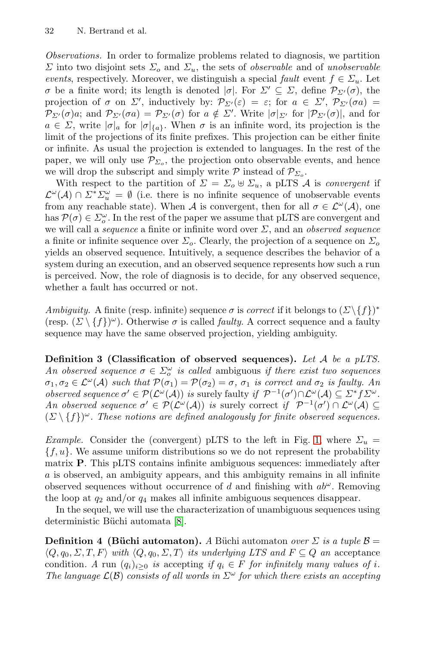*Observations.* In order to formalize problems related to diagnosis, we partition  $\Sigma$  into two disjoint sets  $\Sigma_o$  and  $\Sigma_u$ , the sets of *observable* and of *unobservable events*, respectively. Moreover, we distinguish a special *fault* event  $f \in \Sigma_u$ . Let  $σ$  be a finite word; its length is denoted  $σ$ . For  $Σ' ⊆ Σ$ , define  $P_{Σ'}(σ)$ , the projection of  $\sigma$  on  $\Sigma'$ , inductively by:  $\mathcal{P}_{\Sigma'}(\varepsilon) = \varepsilon$ ; for  $a \in \Sigma'$ ,  $\mathcal{P}_{\Sigma'}(\sigma a) =$  $\mathcal{P}_{\Sigma'}(\sigma)a$ ; and  $\mathcal{P}_{\Sigma'}(\sigma a) = \mathcal{P}_{\Sigma'}(\sigma)$  for  $a \notin \Sigma'$ . Write  $|\sigma|_{\Sigma'}$  for  $|\mathcal{P}_{\Sigma'}(\sigma)|$ , and for  $a \in \Sigma$ , write  $|\sigma|_a$  for  $|\sigma|_{\{a\}}$ . When  $\sigma$  is an infinite word, its projection is the limit of the projections of its finite prefixes. This projection can be either finite or infinite. As usual the projection is extended to languages. In the rest of the paper, we will only use  $\mathcal{P}_{\Sigma_o}$ , the projection onto observable events, and hence we will drop the subscript and simply write  $\mathcal P$  instead of  $\mathcal P_{\Sigma_0}$ .

With respect to the partition of  $\Sigma = \Sigma_o \oplus \Sigma_u$ , a pLTS A is *convergent* if  $\mathcal{L}^{\omega}(\mathcal{A}) \cap \Sigma^* \Sigma_u^{\omega} = \emptyset$  (i.e. there is no infinite sequence of unobservable events from any reachable state). When A is convergent, then for all  $\sigma \in \mathcal{L}^{\omega}(\mathcal{A})$ , one has  $\mathcal{P}(\sigma) \in \Sigma_o^{\omega}$ . In the rest of the paper we assume that pLTS are convergent and we will call a *sequence* a finite or infinite word over Σ, and an *observed sequence* a finite or infinite sequence over  $\Sigma_o$ . Clearly, the projection of a sequence on  $\Sigma_o$ yields an observed sequence. Intuitively, a sequence describes the behavior of a system during an execution, and an observed sequence represents how such a run is perceived. Now, the role of diagnosis is to decide, for any observed sequence, whether a fault has occurred or not.

*Ambiguity.* A finite (resp. infinite) sequence  $\sigma$  is *correct* if it belongs to  $(\Sigma \setminus \{f\})^*$ (resp.  $(\Sigma \setminus \{f\})^{\omega}$ ). Otherwise  $\sigma$  is called *faulty*. A correct sequence and a faulty sequence may have the same observed projection, yielding ambiguity.

**Definition 3 (Classification of observed [s](#page-4-0)equences).** *Let* A *be a pLTS. An observed sequence*  $\sigma \in \Sigma_o^{\omega}$  *is called* ambiguous *if there exist two sequences*  $\sigma_1, \sigma_2 \in \mathcal{L}^{\omega}(\mathcal{A})$  *such that*  $\mathcal{P}(\sigma_1) = \mathcal{P}(\sigma_2) = \sigma$ ,  $\sigma_1$  *is correct and*  $\sigma_2$  *is faulty. An observed sequence*  $\sigma' \in \mathcal{P}(\mathcal{L}^{\omega}(\mathcal{A}))$  *is* surely faulty *if*  $\mathcal{P}^{-1}(\sigma') \cap \mathcal{L}^{\omega}(\mathcal{A}) \subseteq \Sigma^* f \Sigma^{\omega}$ . *An observed sequence*  $\sigma' \in \mathcal{P}(\mathcal{L}^{\omega}(\mathcal{A}))$  *is* surely correct *if*  $\mathcal{P}^{-1}(\sigma') \cap \mathcal{L}^{\omega}(\mathcal{A}) \subseteq$  $(\Sigma \setminus \{f\})^{\omega}$ . These notions are defined analogously for finite observed sequences.

*Example.* C[on](#page-12-4)sider the (convergent) pLTS to the left in Fig. 1, where  $\Sigma_u$  =  ${f, u}$ . We assume uniform distributions so we do not represent the probability matrix **P**. This pLTS contains infinite ambiguous sequences: immediately after a is observed, an ambiguity appears, and this ambiguity remains in all infinite observed sequences without occurrence of d and finishing with  $ab^{\omega}$ . Removing the loop at  $q_2$  and/or  $q_4$  makes all infinite ambiguous sequences disappear.

In the sequel, we will use the characterization of unambiguous sequences using deterministic Büchi automata [8].

**Definition 4 (Büchi automaton).** *A* Büchi automaton *over*  $\Sigma$  *is a tuple*  $\beta$  =  $\langle Q, q_0, \Sigma, T, F \rangle$  with  $\langle Q, q_0, \Sigma, T \rangle$  its underlying LTS and  $F \subseteq Q$  an acceptance condition. A run  $(q_i)_{i>0}$  *is* accepting *if*  $q_i \in F$  *for infinitely many values of i*. *The language*  $\mathcal{L}(\mathcal{B})$  *consists of all words in*  $\Sigma^{\omega}$  *for which there exists an accepting*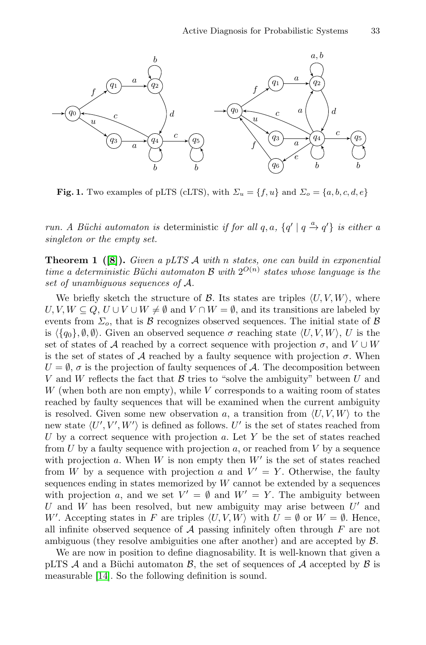<span id="page-4-0"></span>

**Fig. 1.** Two examples of pLTS (cLTS), with  $\Sigma_u = \{f, u\}$  and  $\Sigma_o = \{a, b, c, d, e\}$ 

*run. A Büchi automaton is* deterministic *if for all*  $q, a, \{q' | q \stackrel{a}{\rightarrow} q'\}$  *is either a singleton or the empty set.*

**Theorem 1 ([8]).** *Given a pLTS* <sup>A</sup> *with* <sup>n</sup> *states, one can build in exponential time a deterministic Büchi automaton* B *with*  $2^{O(n)}$  *states whose language is the set of unambiguous sequences of* A*.*

We briefly sketch the structure of  $\mathcal B$ . Its states are triples  $\langle U, V, W \rangle$ , where  $U, V, W \subseteq Q, U \cup V \cup W \neq \emptyset$  and  $V \cap W = \emptyset$ , and its transitions are labeled by events from  $\Sigma_c$ , that is B recognizes observed sequences. The initial state of B is  $\langle \{q_0\}, \emptyset, \emptyset \rangle$ . Given an observed sequence  $\sigma$  reaching state  $\langle U, V, W \rangle$ , U is the set of states of A reached by a correct sequence with projection  $\sigma$ , and  $V \cup W$ is the set of states of A reached by a faulty sequence with projection  $\sigma$ . When  $U = \emptyset$ ,  $\sigma$  is the projection of faulty sequences of A. The decomposition between V and W reflects the fact that  $\beta$  tries to "solve the ambiguity" between U and  $W$  (when both are non empty), while V corresponds to a waiting room of states reached by faulty sequences that will be examined when the current ambiguity is resolved. Given some new observation a, a transition from  $\langle U, V, W \rangle$  to the new state  $\langle U', V', W' \rangle$  is defined as follows.  $U'$  is the set of states reached from U by a correct sequence with projection  $a$ . Let Y be the set of states reached from U by a faulty sequence with projection a, or reached from V by a sequence with projection  $a$ . When  $W$  is non empty then  $W'$  is the set of states reached from W by a sequence with projection a and  $V' = Y$ . Otherwise, the faulty sequences ending in states memorized by  $W$  cannot be extended by a sequences with projection a, and we set  $V' = \emptyset$  and  $W' = Y$ . The ambiguity between U and W has been resolved, but new ambiguity may arise between  $U'$  and W'. Accepting states in F are triples  $\langle U, V, W \rangle$  with  $U = \emptyset$  or  $W = \emptyset$ . Hence, all infinite observed sequence of  $A$  passing infinitely often through  $F$  are not ambiguous (they resolve ambiguities one after another) and are accepted by B.

We are now in position to define diagnosability. It is well-known that given a pLTS  $\mathcal A$  and a Büchi automaton  $\mathcal B$ , the set of sequences of  $\mathcal A$  accepted by  $\mathcal B$  is measurable [14]. So the following definition is sound.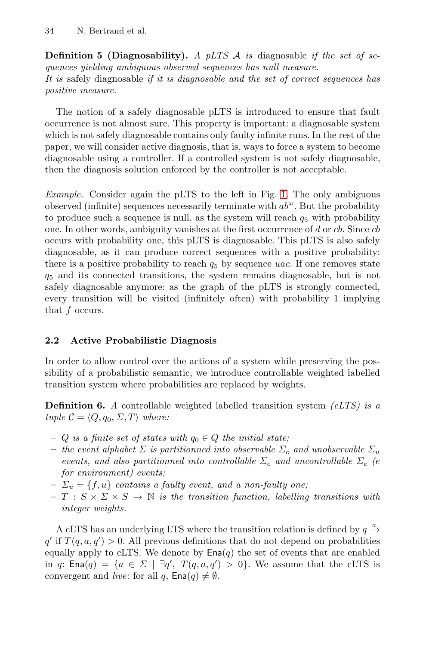**Definition 5 (Diagnosability).** *A pLTS* A *is* diagnosable *if the set of sequences yielding ambiguous observed sequences has null measure. It is* safely diagnosable *if it is diagnosable and the set of correct sequences has positive measure.*

The notion of a safely diagnosabl[e](#page-4-0) [p](#page-4-0)LTS is introduced to ensure that fault occurrence is not almost sure. This property is important: a diagnosable system which is not safely diagnosable contains only faulty infinite runs. In the rest of the paper, we will consider active diagnosis, that is, ways to force a system to become diagnosable using a controller. If a controlled system is not safely diagnosable, then the diagnosis solution enforced by the controller is not acceptable.

*Example.* Consider again the pLTS to the left in Fig. 1. The only ambiguous observed (infinite) sequences necessarily terminate with  $ab^{\omega}$ . But the probability to produce such a sequence is null, as the system will reach  $q_5$  with probability one. In other words, ambiguity vanishes at the first occurrence of  $d$  or  $cb$ . Since  $cb$ occurs with probability one, this pLTS is diagnosable. This pLTS is also safely diagnosable, as it can produce correct sequences with a positive probability: there is a positive probability to reach  $q_5$  by sequence uac. If one removes state  $q<sub>5</sub>$  and its connected transitions, the system remains diagnosable, but is not safely diagnosable anymore: as the graph of the pLTS is strongly connected, every transition will be visited (infinitely often) with probability 1 implying that f occurs.

## **2.2 Active Probabilistic Diagnosis**

In order to allow control over the actions of a system while preserving the possibility of a probabilistic semantic, we introduce controllable weighted labelled transition system where probabilities are replaced by weights.

**Definition 6.** *A* controllable weighted labelled transition system *(cLTS) is a tuple*  $C = \langle Q, q_0, \Sigma, T \rangle$  *where:* 

- $− Q$  *is a finite set of states with*  $q_0 ∈ Q$  *the initial state;*
- $-$  *the event alphabet*  $\Sigma$  *is partitionned into observable*  $\Sigma$ <sub>*o</sub> and unobservable*  $\Sigma$ <sub>*u*</sub></sub> *events, and also partitionned into controllable*  $\Sigma_c$  *and uncontrollable*  $\Sigma_e$  *(e) for environment) events;*
- $\mathcal{L}_{u} = \{f, u\}$  *contains a faulty event, and a non-faulty one;*
- $T : S \times \Sigma \times S \rightarrow \mathbb{N}$  *is the transition function, labelling transitions with integer weights.*

A cLTS has an underlying LTS where the transition relation is defined by  $q \xrightarrow{a}$  $q'$  if  $T(q, a, q') > 0$ . All previous definitions that do not depend on probabilities equally apply to cLTS. We denote by  $\text{Ena}(q)$  the set of events that are enabled in q: Ena $(q) = \{a \in \Sigma \mid \exists q', T(q,a,q') > 0\}$ . We assume that the cLTS is convergent and *live*: for all q,  $\textsf{Ena}(q) \neq \emptyset$ .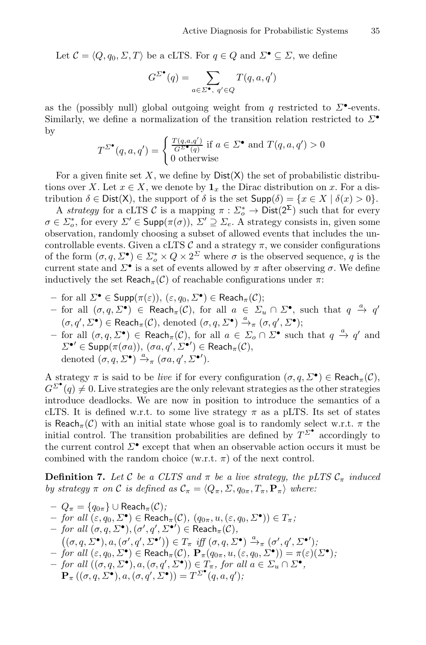Let  $C = \langle Q, q_0, \Sigma, T \rangle$  be a cLTS. For  $q \in Q$  and  $\Sigma^{\bullet} \subseteq \Sigma$ , we define

$$
G^{\Sigma^\bullet}(q) = \sum_{a \in \Sigma^\bullet, \ q' \in Q} T(q,a,q')
$$

as the (possibly null) global outgoing weight from q restricted to  $\Sigma^{\bullet}$ -events. Similarly, we define a normalization of the transition relation restricted to  $\Sigma^{\bullet}$ by

$$
T^{\Sigma^{\bullet}}(q, a, q') = \begin{cases} \frac{T(q, a, q')}{G^{\Sigma^{\bullet}}(q)} \text{ if } a \in \Sigma^{\bullet} \text{ and } T(q, a, q') > 0\\ 0 \text{ otherwise} \end{cases}
$$

For a given finite set X, we define by  $Dist(X)$  the set of probabilistic distributions over X. Let  $x \in X$ , we denote by  $\mathbf{1}_x$  the Dirac distribution on x. For a distribution  $\delta \in \text{Dist}(X)$ , the support of  $\delta$  is the set  $\text{Supp}(\delta) = \{x \in X \mid \delta(x) > 0\}.$ 

A *strategy* for a cLTS C is a mapping  $\pi : \Sigma_o^* \to \text{Dist}(2^{\Sigma})$  such that for every  $\sigma \in \Sigma_o^*$ , for every  $\Sigma' \in \text{Supp}(\pi(\sigma)), \ \Sigma' \supseteq \Sigma_e$ . A strategy consists in, given some observation, randomly choosing a subset of allowed events that includes the uncontrollable events. Given a cLTS  $\mathcal C$  and a strategy  $\pi$ , we consider configurations of the form  $(\sigma, q, \Sigma^{\bullet}) \in \Sigma_o^* \times Q \times 2^{\Sigma}$  where  $\sigma$  is the observed sequence, q is the current state and  $\Sigma^{\bullet}$  is a set of events allowed by  $\pi$  after observing  $\sigma$ . We define inductively the set Reach<sub>π</sub>(C) of reachable configurations under  $\pi$ :

- $-$  for all  $\Sigma$ <sup>•</sup> ∈ Supp(π(ε)), (ε, q<sub>0</sub>,  $\Sigma$ <sup>•</sup>) ∈ Reach<sub>π</sub>(C);
- $-$  for all  $(σ, q, Σ<sup>•</sup>)$  ∈ Reach<sub>π</sub>(*C*), for all  $a ∈ Σ<sub>u</sub> ∩ Σ<sup>•</sup>$ , such that  $q \stackrel{a}{\rightarrow} q'$  $(\sigma, q', \Sigma^{\bullet}) \in \text{Reach}_{\pi}(\mathcal{C}), \text{ denoted } (\sigma, q, \Sigma^{\bullet}) \xrightarrow{a}_{\pi} (\sigma, q', \Sigma^{\bullet});$
- $-$  for all  $(\sigma, q, \Sigma^{\bullet})$  ∈ Reach<sub>π</sub>(C), for all  $a \in \Sigma_o \cap \Sigma^{\bullet}$  such that  $q \stackrel{a}{\to} q'$  and  $\Sigma^{\bullet}{}' \in \mathsf{Supp}(\pi(\sigma a)), (\sigma a, q', \Sigma^{\bullet}{}') \in \mathsf{Reach}_\pi(\mathcal{C}),$ denoted  $(\sigma, q, \Sigma^{\bullet}) \xrightarrow{a} \pi (\sigma a, q', \Sigma^{\bullet})$ .

A strategy  $\pi$  is said to be *live* if for every configuration  $(\sigma, q, \Sigma^{\bullet}) \in \text{Reach}_{\pi}(\mathcal{C}),$  $G^{\Sigma^{\bullet}}(q) \neq 0$ . Live strategies are the only relevant strategies as the other strategies introduce deadlocks. We are now in position to introduce the semantics of a cLTS. It is defined w.r.t. to some live strategy  $\pi$  as a pLTS. Its set of states is Reach<sub>π</sub>(C) with an initial state whose goal is to randomly select w.r.t.  $\pi$  the initial control. The transition probabilities are defined by  $T^{\Sigma^{\bullet}}$  accordingly to the current control  $\Sigma^{\bullet}$  except that when an observable action occurs it must be combined with the random choice (w.r.t.  $\pi$ ) of the next control.

**Definition 7.** Let C be a CLTS and  $\pi$  be a live strategy, the pLTS  $\mathcal{C}_{\pi}$  induced *by strategy*  $\pi$  *on*  $\mathcal{C}$  *is defined as*  $\mathcal{C}_{\pi} = \langle Q_{\pi}, \Sigma, q_{0\pi}, T_{\pi}, \mathbf{P}_{\pi} \rangle$  where:

$$
Q_{\pi} = \{q_{0\pi}\} \cup \text{Reach}_{\pi}(\mathcal{C});
$$
  
\n
$$
- \text{ for all } (\varepsilon, q_0, \Sigma^{\bullet}) \in \text{Reach}_{\pi}(\mathcal{C}), (q_{0\pi}, u, (\varepsilon, q_0, \Sigma^{\bullet})) \in T_{\pi};
$$
  
\n
$$
- \text{ for all } (\sigma, q, \Sigma^{\bullet}), (\sigma', q', \Sigma^{\bullet'}) \in \text{Reach}_{\pi}(\mathcal{C}),
$$
  
\n
$$
((\sigma, q, \Sigma^{\bullet}), a, (\sigma', q', \Sigma^{\bullet'})) \in T_{\pi} \text{ iff } (\sigma, q, \Sigma^{\bullet}) \xrightarrow{a} (\sigma', q', \Sigma^{\bullet'});
$$
  
\n
$$
- \text{ for all } (\varepsilon, q_0, \Sigma^{\bullet}) \in \text{Reach}_{\pi}(\mathcal{C}), \mathbf{P}_{\pi}(q_{0\pi}, u, (\varepsilon, q_0, \Sigma^{\bullet})) = \pi(\varepsilon)(\Sigma^{\bullet});
$$
  
\n
$$
- \text{ for all } ((\sigma, q, \Sigma^{\bullet}), a, (\sigma, q', \Sigma^{\bullet})) \in T_{\pi}, \text{ for all } a \in \Sigma_u \cap \Sigma^{\bullet},
$$
  
\n
$$
\mathbf{P}_{\pi} ((\sigma, q, \Sigma^{\bullet}), a, (\sigma, q', \Sigma^{\bullet})) = T^{\Sigma^{\bullet}}(q, a, q');
$$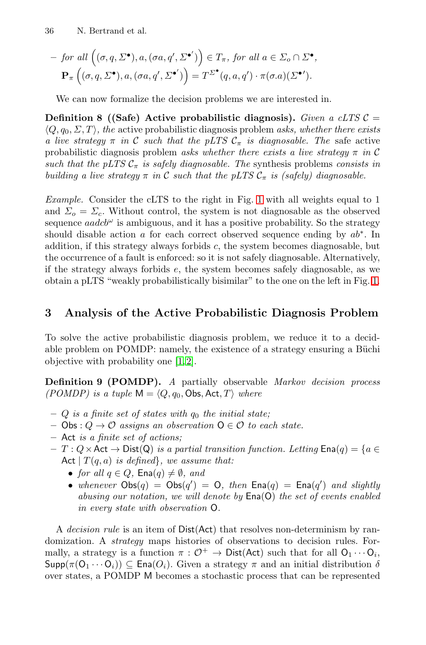$$
- \text{ for all } ((\sigma, q, \Sigma^{\bullet}), a, (\sigma a, q', \Sigma^{\bullet'}) ) \in T_{\pi}, \text{ for all } a \in \Sigma_o \cap \Sigma^{\bullet},
$$

$$
\mathbf{P}_{\pi} ((\sigma, q, \Sigma^{\bullet}), a, (\sigma a, q', \Sigma^{\bullet'}) ) = T^{\Sigma^{\bullet}} (q, a, q') \cdot \pi(\sigma.a)(\Sigma^{\bullet'}).
$$

We can now formalize the decision problems we are interested in.

**Definition 8 ((Safe) Active [pr](#page-4-0)obabilistic diagnosis).** *Given a cLTS*  $C =$  $\langle Q, q_0, \Sigma, T \rangle$ , the active probabilistic diagnosis problem *asks, whether there exists a live strategy*  $\pi$  *in* C *such that the* pLTS  $C_{\pi}$  *is diagnosable. The* safe active probabilistic diagnosis problem *asks whether there exists a live strategy* <sup>π</sup> *in* <sup>C</sup> *such that the pLTS*  $C_{\pi}$  *is safely diagnosable. The* synthesis problems *consists in building a live strategy*  $\pi$  *in* C *such that the pLTS*  $C_{\pi}$  *is (safely) diagnosable.* 

*Example.* Consider the cLTS to the right in Fig. 1 with a[ll](#page-4-0) [w](#page-4-0)eights equal to 1 and  $\Sigma_o = \Sigma_c$ . Without control, the system is not diagnosable as the observed sequence  $aadcb^{\omega}$  is ambiguous, and it has a positive probability. So the strategy should disable action a for each correct observed sequence ending by  $ab^*$ . In addition, if this strategy always forbids  $c$ , the system becomes diagnosable, but the occurrence of a fault is enforced: so it is not safely diagnosable. Alternatively, if the strate[gy](#page-12-5) [al](#page-12-6)ways forbids e, the system becomes safely diagnosable, as we obtain a pLTS "weakly probabilistically bisimilar" to the one on the left in Fig. 1.

# **3 Analysis of the Active Probabilistic Diagnosis Problem**

To solve the active probabilistic diagnosis problem, we reduce it to a decidable problem on POMDP: namely, the existence of a strategy ensuring a Büchi objective with probability one [1, 2].

**Definition 9 (POMDP).** *A* partially observable *Markov decision process (POMDP) is a tuple*  $M = \langle Q, q_0, \text{Obs}, \text{Act}, T \rangle$  *where* 

- $-$  Q *is a finite set of states with*  $q_0$  *the initial state;*
- **–** Obs : <sup>Q</sup> → O *assigns an observation* <sup>O</sup> ∈ O *to each state.*
- **–** Act *is a finite set of actions;*
- **–** <sup>T</sup> : <sup>Q</sup>×Act <sup>→</sup> Dist(Q) *is a partial transition function. Letting* Ena(q) = {<sup>a</sup> <sup>∈</sup> Act  $|T(q, a)$  *is defined}, we assume that:* 
	- *for all*  $q \in Q$ ,  $\text{Ena}(q) \neq \emptyset$ , and
	- whenever  $Obs(q) = Obs(q') = 0$ , then  $Eng(q) = End(q')$  and slightly *abusing our notation, we will denote by* Ena(O) *the set of events enabled in every state with observation* O*.*

A *decision rule* is an item of Dist(Act) that resolves non-determinism by randomization. A *strategy* maps histories of observations to decision rules. Formally, a strategy is a function  $\pi : \mathcal{O}^+ \to \text{Dist}(Act)$  such that for all  $O_1 \cdots O_i$ ,  $\mathsf{Supp}(\pi(\mathsf{O}_1 \cdots \mathsf{O}_i)) \subseteq \mathsf{Ena}(O_i)$ . Given a strategy  $\pi$  and an initial distribution  $\delta$ over states, a POMDP M becomes a stochastic process that can be represented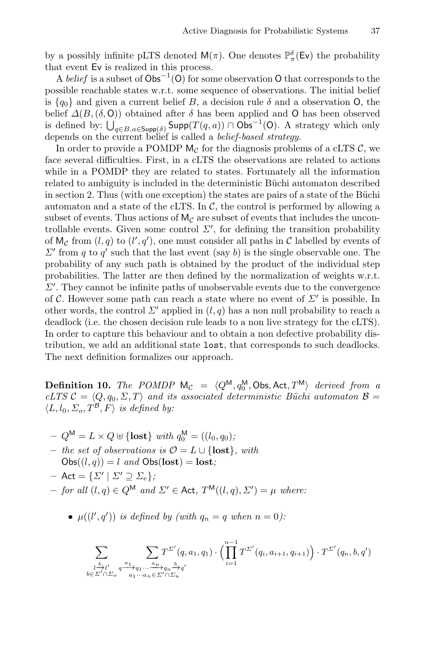by a possibly infinite pLTS denoted  $M(\pi)$ . One denotes  $\mathbb{P}^{\delta}_{\pi}(\mathsf{Ev})$  the probability that event Ev is realized in this process.

A *belief* is a subset of  $Obs^{-1}(O)$  for some observation O that corresponds to the possible reachable states w.r.t. some sequence of observations. The initial belief is  ${q_0}$  and given a current belief B, a decision rule  $\delta$  and a observation O, the belief  $\Delta(B,(\delta, 0))$  obtained after  $\delta$  has been applied and O has been observed is defined by:  $\bigcup_{q \in B, a \in \text{Supp}(\delta)} \text{Supp}(T(q, a)) \cap \text{Obs}^{-1}(\text{O})$ . A strategy which only depends on the current belief is called a *belief-based strategy*.

In order to provide a POMDP  $M_{\mathcal{C}}$  for the diagnosis problems of a cLTS C, we face several difficulties. First, in a cLTS the observations are related to actions while in a POMDP they are related to states. Fortunately all the information related to ambiguity is included in the deterministic Büchi automaton described in section 2. Thus (with one exception) the states are pairs of a state of the Büchi automaton and a state of the cLTS. In  $\mathcal{C}$ , the control is performed by allowing a subset of events. Thus actions of  $M_c$  are subset of events that includes the uncontrollable events. Given some control  $\Sigma'$ , for defining the transition probability of  $M_{\mathcal{C}}$  from  $(l, q)$  to  $(l', q')$ , one must consider all paths in C labelled by events of  $\Sigma'$  from q to q' such that the last event (say b) is the single observable one. The probability of any such path is obtained by the product of the individual step probabilities. The latter are then defined by the normalization of weights w.r.t.  $\Sigma'$ . They cannot be infinite paths of unobservable events due to the convergence of C. However some path can reach a state where no event of  $\Sigma'$  is possible. In other words, the control  $\Sigma'$  applied in  $(l, q)$  has a non null probability to reach a deadlock (i.e. the chosen decision rule leads to a non live strategy for the cLTS). In order to capture this behaviour and to obtain a non defective probability distribution, we add an additional state lost, that corresponds to such deadlocks. The next definition formalizes our approach.

**Definition 10.** *The POMDP*  $M_c = \langle Q^M, q_0^M, \text{Obs}, \text{Act}, T^M \rangle$  derived from a *cLTS*  $C = \langle Q, q_0, \Sigma, T \rangle$  and its associated deterministic Büchi automaton  $\mathcal{B} =$  $\langle L, l_0, \Sigma_o, T^B, F \rangle$  *is defined by:* 

- $-Q^{\mathsf{M}} = L \times Q \oplus \{\textbf{lost}\}\text{ with } q_0^{\mathsf{M}} = ((l_0, q_0))$
- **–** *the set of observations is* <sup>O</sup> <sup>=</sup> <sup>L</sup> ∪ {**lost**}*, with*  $\text{Obs}((l, q)) = l$  *and*  $\text{Obs}(\text{lost}) = \text{lost}$ *;*
- $-$  Act =  $\{\Sigma' | \Sigma' \supseteq \Sigma_e\};$
- $-$  *for all*  $(l, q) \in Q^{\mathsf{M}}$  *and*  $\Sigma' \in$  **Act**,  $T^{\mathsf{M}}((l, q), \Sigma') = \mu$  *where:* 
	- $\mu((l', q'))$  *is defined by (with*  $q_n = q$  *when*  $n = 0$ *)*:

$$
\sum_{\substack{l \to l' \\ b \in \Sigma' \cap \Sigma_o}} \sum_{\substack{a_1, \ldots, a_n \\ a_1 \cdots a_n \in \Sigma' \cap \Sigma_u}} T^{\Sigma'}(q, a_1, q_1) \cdot \left( \prod_{i=1}^{n-1} T^{\Sigma'}(q_i, a_{i+1}, q_{i+1}) \right) \cdot T^{\Sigma'}(q_n, b, q')
$$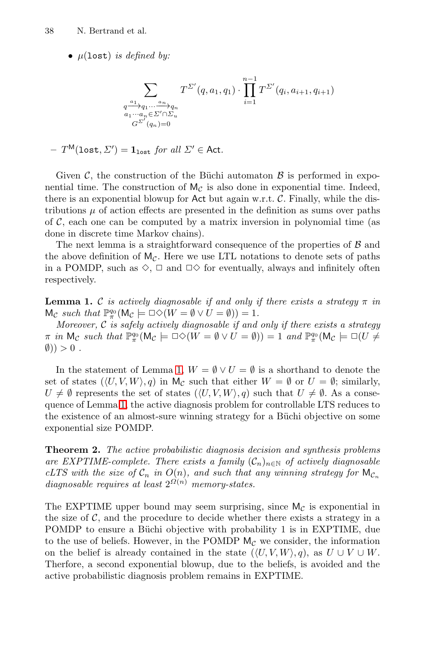• <sup>μ</sup>(lost) *is defined by:*

<span id="page-9-0"></span>
$$
\sum_{\substack{q \xrightarrow{a_1} q_1 \cdots \xrightarrow{a_n} q_n \\ a_1 \cdots a_n \in \Sigma' \cap \Sigma_u \\ G^{\Sigma'}(q_n) = 0}} T^{\Sigma'}(q, a_1, q_1) \cdot \prod_{i=1}^{n-1} T^{\Sigma'}(q_i, a_{i+1}, q_{i+1})
$$

$$
-\ T^{\sf M}({\tt lost},\varSigma') = {\bf 1}_{\tt lost} \; \textit{for all} \; \varSigma' \in {\sf Act}.
$$

Given  $\mathcal{C}$ , the construction of the Büchi automaton  $\mathcal{B}$  is performed in exponential time. The construction of  $M_{\mathcal{C}}$  is also done in exponential time. Indeed, there is an exponential blowup for Act but again w.r.t.  $\mathcal{C}$ . Finally, while the distributions  $\mu$  of action effects are presented in the definition as sums over paths of  $\mathcal{C}$ , each one can be computed by a matrix inversion in polynomial time (as done in discrete time Markov chains).

The next lemma is a straightforward consequence of the properties of  $\beta$  and the above definition of  $M_{\mathcal{C}}$ . Here we use LTL notations to denote sets of paths in a POMDP, such as  $\diamondsuit$ ,  $\Box$  and  $\Box \diamondsuit$  for eventually, always and infinitely often respectively.

**Lemma 1.** C *is actively diagnosable if and only if there exists a strategy*  $\pi$  *in*  $\mathsf{M}_{\mathcal{C}} \ \mathit{such that} \ \mathbb{P}^{q_0}_{\pi}(\mathsf{M}_{\mathcal{C}} \models \Box \Diamond (W = \emptyset \lor U = \emptyset)) = 1.$  $\mathsf{M}_{\mathcal{C}} \ \mathit{such that} \ \mathbb{P}^{q_0}_{\pi}(\mathsf{M}_{\mathcal{C}} \models \Box \Diamond (W = \emptyset \lor U = \emptyset)) = 1.$  $\mathsf{M}_{\mathcal{C}} \ \mathit{such that} \ \mathbb{P}^{q_0}_{\pi}(\mathsf{M}_{\mathcal{C}} \models \Box \Diamond (W = \emptyset \lor U = \emptyset)) = 1.$ 

*Moreover,* C *is safely actively diagnosable if and only if there exists a strategy*  $\pi$  *in*  $M_c$  *such that*  $\mathbb{P}_{\pi}^{q_0} (M_c \models \Box \Diamond (W = \emptyset \lor U = \emptyset)) = 1$  *and*  $\mathbb{P}_{\pi}^{q_0} (M_c \models \Box (U \neq \emptyset))$  $(\emptyset)) > 0$ .

In the statement of Lemma 1,  $W = \emptyset \vee U = \emptyset$  is a shorthand to denote the set of states  $(\langle U, V, W \rangle, q)$  in  $M_{\mathcal{C}}$  such that either  $W = \emptyset$  or  $U = \emptyset$ ; similarly,  $U \neq \emptyset$  represents the set of states  $(\langle U, V, W \rangle, q)$  such that  $U \neq \emptyset$ . As a consequence of Lemma 1, the active diagnosis problem for controllable LTS reduces to the existence of an almost-sure winning strategy for a Büchi objective on some exponential size POMDP.

**Theorem 2.** *The active probabilistic diagnosis decision and synthesis problems are EXPTIME-complete. There exists a family*  $(C_n)_{n\in\mathbb{N}}$  *of actively diagnosable cLTS with the size of*  $C_n$  *in*  $O(n)$ *, and such that any winning strategy for*  $\mathsf{M}_{C_n}$ *diagnosable requires at least*  $2^{\Omega(n)}$  *memory-states.* 

The EXPTIME upper bound may seem surprising, since  $M_{\mathcal{C}}$  is exponential in the size of  $\mathcal{C}$ , and the procedure to decide whether there exists a strategy in a POMDP to ensure a Büchi objective with probability 1 is in EXPTIME, due to the use of beliefs. However, in the POMDP  $M_{\mathcal{C}}$  we consider, the information on the belief is already contained in the state  $(\langle U, V, W \rangle, q)$ , as  $U \cup V \cup W$ . Therfore, a second exponential blowup, due to the beliefs, is avoided and the active probabilistic diagnosis problem remains in EXPTIME.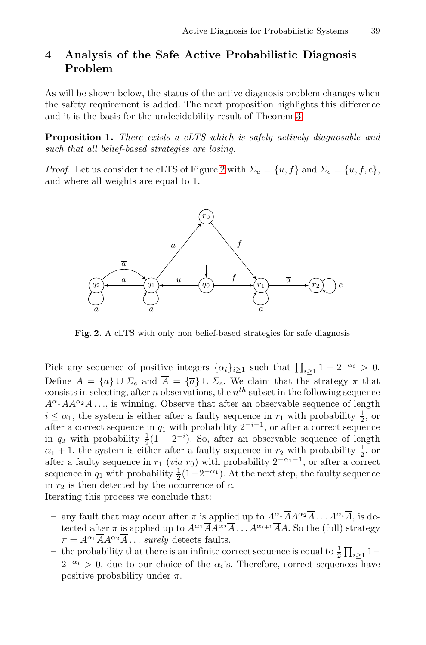# <span id="page-10-0"></span>**4 Analysis of the Safe Active Probabilistic Diagnosis Problem**

As will be shown below, the status of the active diagnosis problem changes when the safety requirement is added. The next proposition highlights this difference and it is the basis for the undecidability result of Theorem 3.

**Proposition 1.** *There exists a cLTS which is safely actively diagnosable and such that all belief-based strategies are losing.*

*Proof.* Let us consider the cLTS of Figure 2 with  $\Sigma_u = \{u, f\}$  and  $\Sigma_e = \{u, f, c\}$ , and where all weights are equal to 1.

<span id="page-10-1"></span>

**Fig. 2.** A cLTS with only non belief-based strategies for safe diagnosis

Pick any sequence of positive integers  $\{\alpha_i\}_{i\geq 1}$  such that  $\prod_{i\geq 1} 1 - 2^{-\alpha_i} > 0$ . Define  $A = \{a\} \cup \Sigma_e$  and  $\overline{A} = \{\overline{a}\} \cup \Sigma_e$ . We claim that the strategy  $\pi$  that consists in selecting, after *n* observations, the  $n^{th}$  subset in the following sequence  $A^{\alpha_1} \overline{A} A^{\alpha_2} \overline{A} \ldots$ , is winning. Observe that after an observable sequence of length  $i \leq \alpha_1$ , the system is either after a faulty sequence in  $r_1$  with probability  $\frac{1}{2}$ , or after a correct sequence in  $q_1$  with probability  $2^{-i-1}$ , or after a correct sequence in  $q_2$  with probability  $\frac{1}{2}(1-2^{-i})$ . So, after an observable sequence of length  $\alpha_1 + 1$ , the system is either after a faulty sequence in  $r_2$  with probability  $\frac{1}{2}$ , or after a faulty sequence in  $r_1$  (*via*  $r_0$ ) with probability  $2^{-\alpha_1-1}$ , or after a correct sequence in  $q_1$  with probability  $\frac{1}{2}(1-2^{-\alpha_1})$ . At the next step, the faulty sequence in  $r_2$  is then detected by the occurrence of  $c$ . Iterating this process we conclude that:

- any fault that may occur after  $\pi$  is applied up to  $A^{\alpha_1} \overline{A} A^{\alpha_2} \overline{A} \dots A^{\alpha_i} \overline{A}$ , is detected after  $\pi$  is applied up to  $A^{\alpha_1} \overline{A} A^{\alpha_2} \overline{A} \dots A^{\alpha_{i+1}} \overline{A} A$ . So the (full) strategy  $\pi = A^{\alpha_1} \overline{A} A^{\alpha_2} \overline{A} \dots$  *surely* detects faults.
- $\frac{1}{2}$  T<sub>i</sub> 2<sup>1</sup> <sup>1</sup> −  $2^{-\alpha_i} > 0$ , due to our choice of the  $\alpha_i$ 's. Therefore, correct sequences have positive probability under  $\pi$ .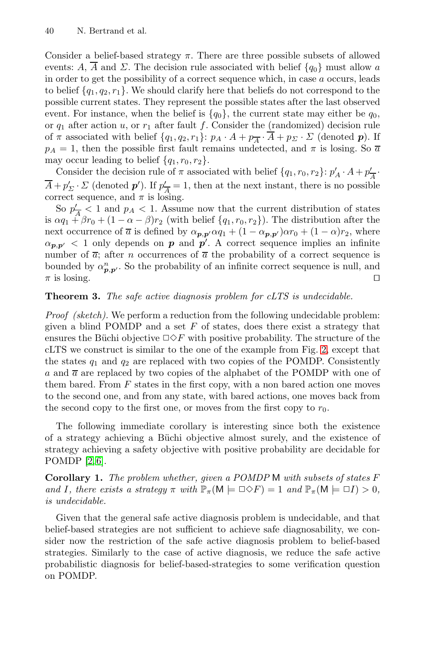Consider a belief-based strategy  $\pi$ . There are three possible subsets of allowed events: A,  $\overline{A}$  and  $\Sigma$ . The decision rule associated with belief  $\{q_0\}$  must allow a in order to get the possibility of a correct sequence which, in case a occurs, leads to belief  $\{q_1, q_2, r_1\}$ . We should clarify here that beliefs do not correspond to the possible current states. They represent the possible states after the last observed event. For instance, when the belief is  ${q_0}$ , the current state may either be  $q_0$ , or  $q_1$  after action u, or  $r_1$  after fault f. Consider the (randomized) decision rule of  $\pi$  associated with belief  $\{q_1, q_2, r_1\}$ :  $p_A \cdot A + p_{\overline{A}} \cdot \overline{A} + p_{\Sigma} \cdot \Sigma$  (denoted  $p$ ). If  $p_A = 1$ , then the possible first fault remains undetected, and  $\pi$  is losing. So  $\overline{a}$ may occur leading to belief  $\{q_1, r_0, r_2\}.$ 

<span id="page-11-0"></span>Consider the decision rule of  $\pi$  associated with belief  $\{q_1, r_0, r_2\}$ :  $p'_A \cdot A + p'_{\overline{A}} \cdot$  $\overline{A} + p'_{\Sigma} \cdot \Sigma$  (denoted  $p'$ ). If  $p'_{\overline{A}} = 1$ , then at the next instant, there is no possible correct sequence, and  $\pi$  is losing.

So  $p'_{\overline{A}}$  < 1 and  $p_A$  < 1. Assume now that the current distribution of states is  $\alpha q_1 + \beta r_0 + (1 - \alpha - \beta) r_2$  (with belief  $\{q_1, r_0, r_2\}$ ). The distribution after the next occurrence of  $\overline{a}$  is defined by  $\alpha_{p,p'}\alpha q_1 + (1 - \alpha_{p,p'})\alpha r_0 + (1 - \alpha)r_2$ , where  $\alpha_{p,p'}$  < 1 only depends on *p* and *p'*. A correct sequence implies an infinite number of  $\overline{a}$ ; after *n* occurrences of  $\overline{a}$  the probability of a correct sequence is bounded by  $\alpha_{p,p'}^n$ . So the probability of an infi[nit](#page-10-1)e correct sequence is null, and  $\pi$  is losing.

### **Theorem 3.** *The safe active diagnosis problem for cLTS is undecidable.*

*Proof (sketch).* We perform a reduction from the following undecidable problem: given a blind POMDP and a set  $F$  of states, does there exist a strategy that ensures the Büchi objective  $\Box \Diamond F$  with positive probability. The structure of the cLTS we construct is similar to the one of the example from Fig. 2, except that the states  $q_1$  and  $q_2$  are replaced with two copies of the POMDP. Consistently a and  $\overline{a}$  are replaced by two copies of the alphabet of the POMDP with one of them bared. From  $F$  states in the first copy, with a non bared action one moves to the second one, and from any state, with bared actions, one moves back from the second copy to the first one, or moves from the first copy to  $r_0$ .

The following immediate corollary is interesting since both the existence of a strategy achieving a Büchi objective almost surely, and the existence of strategy achieving a safety objective with positive probability are decidable for POMDP [2, 6].

**Corollary 1.** *The problem whether, given a POMDP* M *with subsets of states* F *and* I, there exists a strategy  $\pi$  with  $\mathbb{P}_{\pi}(\mathsf{M} \models \Box \diamond F) = 1$  *and*  $\mathbb{P}_{\pi}(\mathsf{M} \models \Box I) > 0$ *, is undecidable.*

Given that the general safe active diagnosis problem is undecidable, and that belief-based strategies are not sufficient to achieve safe diagnosability, we consider now the restriction of the safe active diagnosis problem to belief-based strategies. Similarly to the case of active diagnosis, we reduce the safe active probabilistic diagnosis for belief-based-strategies to some verification question on POMDP.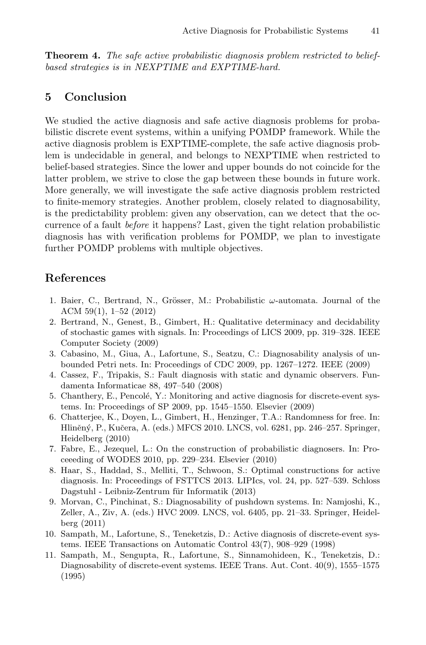<span id="page-12-7"></span>**Theorem 4.** *The safe active probabilistic diagnosis problem restricted to beliefbased strategies is in NEXPTIME and EXPTIME-hard.*

## **5 Conclusion**

We studied the active diagnosis and safe active diagnosis problems for probabilistic discrete event systems, within a unifying POMDP framework. While the active diagnosis problem is EXPTIME-complete, the safe active diagnosis problem is undecidable in general, and belongs to NEXPTIME when restricted to belief-based strategies. Since the lower and upper bounds do not coincide for the latter problem, we strive to close the gap between these bounds in future work. More generally, we will investigate the safe active diagnosis problem restricted to finite-memory strategies. Another problem, closely related to diagnosability, is the predictability problem: given any observation, can we detect that the occurrence of a fault *before* it happens? Last, given the tight relation probabilistic diagnosis has with verification problems for POMDP, we plan to investigate further POMDP problems with multiple objectives.

# <span id="page-12-6"></span><span id="page-12-5"></span>**References**

- <span id="page-12-2"></span>1. Baier, C., Bertrand, N., Grösser, M.: Probabilistic  $\omega$ -automata. Journal of the ACM 59(1), 1–52 (2012)
- 2. Bertrand, N., Genest, B., Gimbert, H.: Qualitative determinacy and decidability of stochastic games with signals. In: Proceedings of LICS 2009, pp. 319–328. IEEE Computer Society (2009)
- <span id="page-12-3"></span>3. Cabasino, M., Giua, A., Lafortune, S., Seatzu, C.: Diagnosability analysis of unbounded Petri nets. In: Proceedings of CDC 2009, pp. 1267–1272. IEEE (2009)
- <span id="page-12-4"></span>4. Cassez, F., Tripakis, S.: Fault diagnosis with static and dynamic observers. Fundamenta Informaticae 88, 497–540 (2008)
- 5. Chanthery, E., Pencolé, Y.: Monitoring and active diagnosis for discrete-event systems. In: Proceedings of SP 2009, pp. 1545–1550. Elsevier (2009)
- 6. Chatterjee, K., Doyen, L., Gimbert, H., Henzinger, T.A.: Randomness for free. In: Hliněný, P., Kučera, A. (eds.) MFCS 2010. LNCS, vol. 6281, pp. 246–257. Springer, Heidelberg (2010)
- <span id="page-12-1"></span>7. Fabre, E., Jezequel, L.: On the construction of probabilistic diagnosers. In: Proceeeding of WODES 2010, pp. 229–234. Elsevier (2010)
- <span id="page-12-0"></span>8. Haar, S., Haddad, S., Melliti, T., Schwoon, S.: Optimal constructions for active diagnosis. In: Proceedings of FSTTCS 2013. LIPIcs, vol. 24, pp. 527–539. Schloss Dagstuhl - Leibniz-Zentrum für Informatik (2013)
- 9. Morvan, C., Pinchinat, S.: Diagnosability of pushdown systems. In: Namjoshi, K., Zeller, A., Ziv, A. (eds.) HVC 2009. LNCS, vol. 6405, pp. 21–33. Springer, Heidelberg (2011)
- 10. Sampath, M., Lafortune, S., Teneketzis, D.: Active diagnosis of discrete-event systems. IEEE Transactions on Automatic Control 43(7), 908–929 (1998)
- 11. Sampath, M., Sengupta, R., Lafortune, S., Sinnamohideen, K., Teneketzis, D.: Diagnosability of discrete-event systems. IEEE Trans. Aut. Cont. 40(9), 1555–1575 (1995)